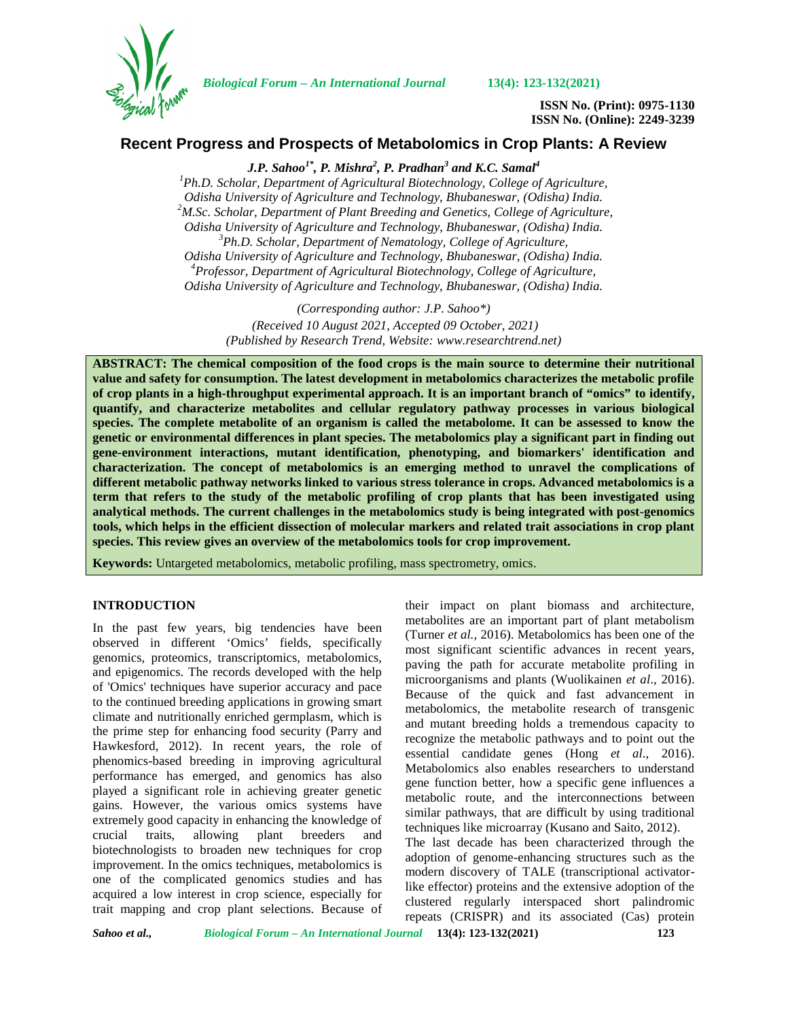

*Biological Forum – An International Journal* **13(4): 123-132(2021)**

**ISSN No. (Print): 0975-1130 ISSN No. (Online): 2249-3239**

# **Recent Progress and Prospects of Metabolomics in Crop Plants: A Review**

*J.P. Sahoo1\* , P. Mishra<sup>2</sup> , P. Pradhan<sup>3</sup> and K.C. Samal<sup>4</sup>*

*<sup>1</sup>Ph.D. Scholar, Department of Agricultural Biotechnology, College of Agriculture, Odisha University of Agriculture and Technology, Bhubaneswar, (Odisha) India. <sup>2</sup>M.Sc. Scholar, Department of Plant Breeding and Genetics, College of Agriculture, Odisha University of Agriculture and Technology, Bhubaneswar, (Odisha) India. <sup>3</sup>Ph.D. Scholar, Department of Nematology, College of Agriculture, Odisha University of Agriculture and Technology, Bhubaneswar, (Odisha) India. <sup>4</sup>Professor, Department of Agricultural Biotechnology, College of Agriculture,*

*Odisha University of Agriculture and Technology, Bhubaneswar, (Odisha) India.*

*(Corresponding author: J.P. Sahoo\*) (Received 10 August 2021, Accepted 09 October, 2021) (Published by Research Trend, Website: [www.researchtrend.net\)](www.researchtrend.net)*

**ABSTRACT: The chemical composition of the food crops is the main source to determine their nutritional value and safety for consumption. The latest development in metabolomics characterizes the metabolic profile of crop plants in a high-throughput experimental approach. It is an important branch of "omics" to identify, quantify, and characterize metabolites and cellular regulatory pathway processes in various biological species. The complete metabolite of an organism is called the metabolome. It can be assessed to know the genetic or environmental differences in plant species. The metabolomics play a significant part in finding out gene-environment interactions, mutant identification, phenotyping, and biomarkers' identification and characterization. The concept of metabolomics is an emerging method to unravel the complications of different metabolic pathway networks linked to various stress tolerance in crops. Advanced metabolomics is a term that refers to the study of the metabolic profiling of crop plants that has been investigated using analytical methods. The current challenges in the metabolomics study is being integrated with post-genomics tools, which helps in the efficient dissection of molecular markers and related trait associations in crop plant species. This review gives an overview of the metabolomics tools for crop improvement.**

**Keywords:** Untargeted metabolomics, metabolic profiling, mass spectrometry, omics.

## **INTRODUCTION**

In the past few years, big tendencies have been observed in different 'Omics' fields, specifically genomics, proteomics, transcriptomics, metabolomics, and epigenomics. The records developed with the help of 'Omics' techniques have superior accuracy and pace to the continued breeding applications in growing smart climate and nutritionally enriched germplasm, which is the prime step for enhancing food security (Parry and Hawkesford, 2012). In recent years, the role of phenomics-based breeding in improving agricultural performance has emerged, and genomics has also played a significant role in achieving greater genetic gains. However, the various omics systems have extremely good capacity in enhancing the knowledge of crucial traits, allowing plant breeders and biotechnologists to broaden new techniques for crop improvement. In the omics techniques, metabolomics is one of the complicated genomics studies and has acquired a low interest in crop science, especially for trait mapping and crop plant selections. Because of their impact on plant biomass and architecture, metabolites are an important part of plant metabolism (Turner *et al.,* 2016). Metabolomics has been one of the most significant scientific advances in recent years, paving the path for accurate metabolite profiling in microorganisms and plants (Wuolikainen *et al*., 2016). Because of the quick and fast advancement in metabolomics, the metabolite research of transgenic and mutant breeding holds a tremendous capacity to recognize the metabolic pathways and to point out the essential candidate genes (Hong *et al*., 2016). Metabolomics also enables researchers to understand gene function better, how a specific gene influences a metabolic route, and the interconnections between similar pathways, that are difficult by using traditional techniques like microarray (Kusano and Saito, 2012). The last decade has been characterized through the adoption of genome-enhancing structures such as the modern discovery of TALE (transcriptional activatorlike effector) proteins and the extensive adoption of the

clustered regularly interspaced short palindromic repeats (CRISPR) and its associated (Cas) protein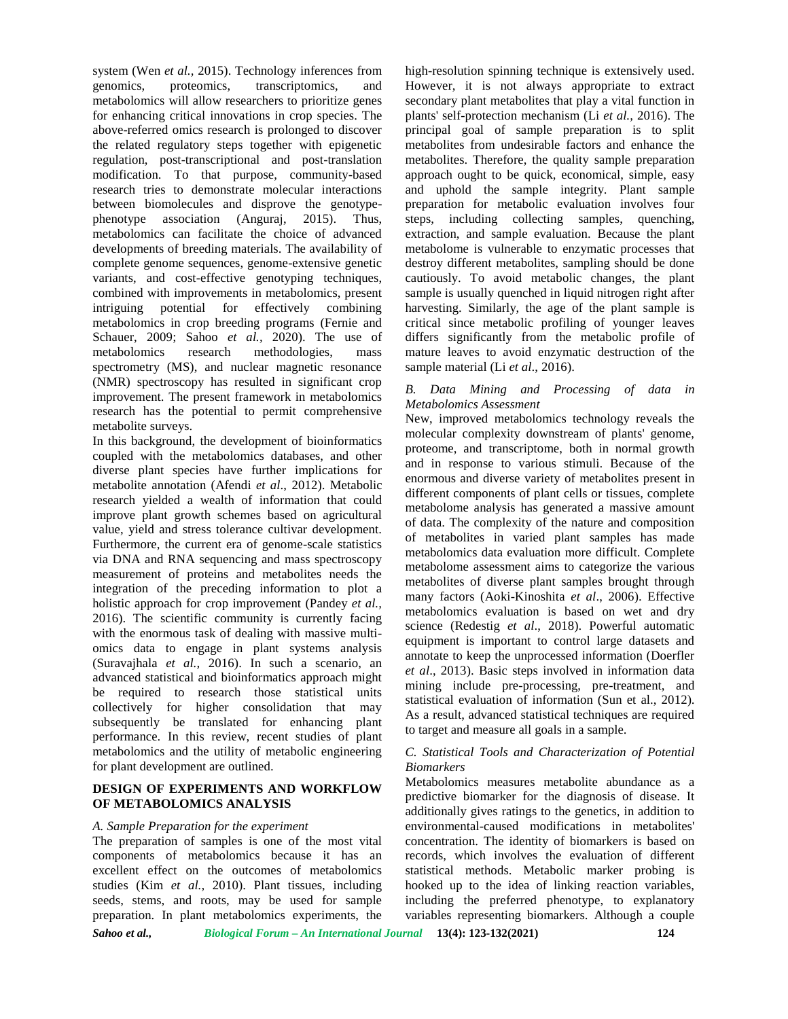system (Wen *et al.,* 2015). Technology inferences from genomics, proteomics, transcriptomics, and metabolomics will allow researchers to prioritize genes for enhancing critical innovations in crop species. The above-referred omics research is prolonged to discover the related regulatory steps together with epigenetic regulation, post-transcriptional and post-translation modification. To that purpose, community-based research tries to demonstrate molecular interactions between biomolecules and disprove the genotype phenotype association (Anguraj, 2015). Thus, metabolomics can facilitate the choice of advanced developments of breeding materials. The availability of complete genome sequences, genome-extensive genetic variants, and cost-effective genotyping techniques, combined with improvements in metabolomics, present intriguing potential for effectively combining metabolomics in crop breeding programs (Fernie and Schauer, 2009; Sahoo *et al.,* 2020). The use of metabolomics research methodologies, mass spectrometry (MS), and nuclear magnetic resonance (NMR) spectroscopy has resulted in significant crop improvement. The present framework in metabolomics research has the potential to permit comprehensive metabolite surveys.

In this background, the development of bioinformatics coupled with the metabolomics databases, and other diverse plant species have further implications for metabolite annotation (Afendi *et al*., 2012). Metabolic research yielded a wealth of information that could improve plant growth schemes based on agricultural value, yield and stress tolerance cultivar development. Furthermore, the current era of genome-scale statistics via DNA and RNA sequencing and mass spectroscopy measurement of proteins and metabolites needs the integration of the preceding information to plot a holistic approach for crop improvement (Pandey *et al.,* 2016). The scientific community is currently facing with the enormous task of dealing with massive multi omics data to engage in plant systems analysis (Suravajhala *et al.,* 2016). In such a scenario, an advanced statistical and bioinformatics approach might be required to research those statistical units collectively for higher consolidation that may subsequently be translated for enhancing plant performance. In this review, recent studies of plant metabolomics and the utility of metabolic engineering for plant development are outlined.

### **DESIGN OF EXPERIMENTS AND WORKFLOW OF METABOLOMICS ANALYSIS**

### *A. Sample Preparation for the experiment*

The preparation of samples is one of the most vital components of metabolomics because it has an excellent effect on the outcomes of metabolomics studies (Kim *et al.,* 2010). Plant tissues, including seeds, stems, and roots, may be used for sample preparation. In plant metabolomics experiments, the

high-resolution spinning technique is extensively used. However, it is not always appropriate to extract secondary plant metabolites that play a vital function in plants' self-protection mechanism (Li *et al.,* 2016). The principal goal of sample preparation is to split metabolites from undesirable factors and enhance the metabolites. Therefore, the quality sample preparation approach ought to be quick, economical, simple, easy and uphold the sample integrity. Plant sample preparation for metabolic evaluation involves four steps, including collecting samples, quenching, extraction, and sample evaluation. Because the plant metabolome is vulnerable to enzymatic processes that destroy different metabolites, sampling should be done cautiously. To avoid metabolic changes, the plant sample is usually quenched in liquid nitrogen right after harvesting. Similarly, the age of the plant sample is critical since metabolic profiling of younger leaves differs significantly from the metabolic profile of mature leaves to avoid enzymatic destruction of the sample material (Li *et al*., 2016).

### *B. Data Mining and Processing of data in Metabolomics Assessment*

New, improved metabolomics technology reveals the molecular complexity downstream of plants' genome, proteome, and transcriptome, both in normal growth and in response to various stimuli. Because of the enormous and diverse variety of metabolites present in different components of plant cells or tissues, complete metabolome analysis has generated a massive amount of data. The complexity of the nature and composition of metabolites in varied plant samples has made metabolomics data evaluation more difficult. Complete metabolome assessment aims to categorize the various metabolites of diverse plant samples brought through many factors (Aoki-Kinoshita *et al*., 2006). Effective metabolomics evaluation is based on wet and dry science (Redestig *et al*., 2018). Powerful automatic equipment is important to control large datasets and annotate to keep the unprocessed information (Doerfler *et al*., 2013). Basic steps involved in information data mining include pre-processing, pre-treatment, and statistical evaluation of information (Sun et al., 2012). As a result, advanced statistical techniques are required to target and measure all goals in a sample.

### *C. Statistical Tools and Characterization of Potential Biomarkers*

Metabolomics measures metabolite abundance as a predictive biomarker for the diagnosis of disease. It additionally gives ratings to the genetics, in addition to environmental-caused modifications in metabolites' concentration. The identity of biomarkers is based on records, which involves the evaluation of different statistical methods. Metabolic marker probing is hooked up to the idea of linking reaction variables, including the preferred phenotype, to explanatory variables representing biomarkers. Although a couple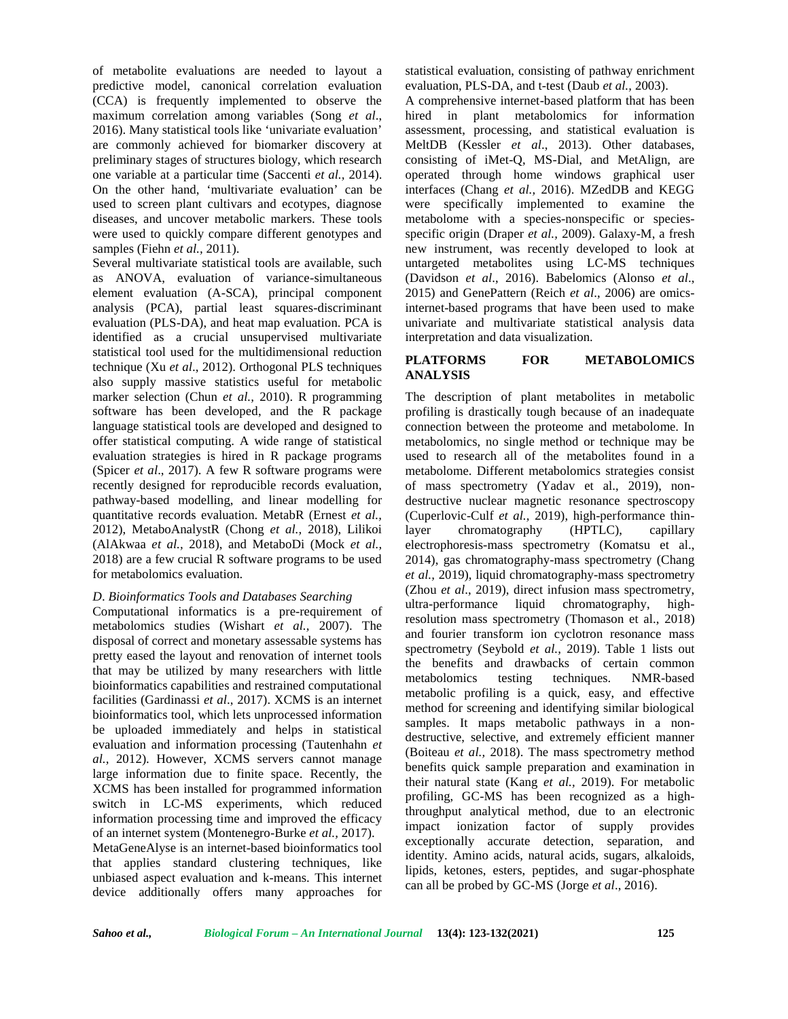of metabolite evaluations are needed to layout a predictive model, canonical correlation evaluation (CCA) is frequently implemented to observe the maximum correlation among variables (Song *et al*., 2016). Many statistical tools like 'univariate evaluation' are commonly achieved for biomarker discovery at preliminary stages of structures biology, which research one variable at a particular time (Saccenti *et al.,* 2014). On the other hand, 'multivariate evaluation' can be used to screen plant cultivars and ecotypes, diagnose diseases, and uncover metabolic markers. These tools were used to quickly compare different genotypes and samples (Fiehn *et al.,* 2011).

Several multivariate statistical tools are available, such as ANOVA, evaluation of variance-simultaneous element evaluation (A-SCA), principal component analysis (PCA), partial least squares-discriminant evaluation (PLS-DA), and heat map evaluation. PCA is identified as a crucial unsupervised multivariate statistical tool used for the multidimensional reduction<br> $PLATFORMS$ technique (Xu *et al*., 2012). Orthogonal PLS techniques also supply massive statistics useful for metabolic marker selection (Chun *et al.,* 2010). R programming software has been developed, and the R package language statistical tools are developed and designed to offer statistical computing. A wide range of statistical evaluation strategies is hired in R package programs (Spicer *et al*., 2017). A few R software programs were recently designed for reproducible records evaluation, pathway-based modelling, and linear modelling for quantitative records evaluation. MetabR (Ernest *et al.,* 2012), MetaboAnalystR (Chong *et al.,* 2018), Lilikoi (AlAkwaa *et al.,* 2018), and MetaboDi (Mock *et al.,* 2018) are a few crucial R software programs to be used for metabolomics evaluation.

### *D*. *Bioinformatics Tools and Databases Searching*

Computational informatics is a pre-requirement of metabolomics studies (Wishart *et al.,* 2007). The disposal of correct and monetary assessable systems has pretty eased the layout and renovation of internet tools that may be utilized by many researchers with little bioinformatics capabilities and restrained computational facilities (Gardinassi *et al*., 2017). XCMS is an internet bioinformatics tool, which lets unprocessed information be uploaded immediately and helps in statistical evaluation and information processing (Tautenhahn *et al.,* 2012). However, XCMS servers cannot manage large information due to finite space. Recently, the XCMS has been installed for programmed information switch in LC-MS experiments, which reduced information processing time and improved the efficacy of an internet system (Montenegro-Burke *et al.,* 2017). MetaGeneAlyse is an internet-based bioinformatics tool

that applies standard clustering techniques, like unbiased aspect evaluation and k-means. This internet device additionally offers many approaches for

statistical evaluation, consisting of pathway enrichment evaluation, PLS-DA, and t-test (Daub *et al.,* 2003).

A comprehensive internet-based platform that has been hired in plant metabolomics for information assessment, processing, and statistical evaluation is MeltDB (Kessler *et al*., 2013). Other databases, consisting of iMet-Q, MS-Dial, and MetAlign, are operated through home windows graphical user interfaces (Chang *et al.,* 2016). MZedDB and KEGG were specifically implemented to examine the metabolome with a species-nonspecific or species specific origin (Draper *et al.,* 2009). Galaxy-M, a fresh new instrument, was recently developed to look at untargeted metabolites using LC-MS techniques (Davidson *et al*., 2016). Babelomics (Alonso *et al*., 2015) and GenePattern (Reich *et al*., 2006) are omicsinternet-based programs that have been used to make univariate and multivariate statistical analysis data interpretation and data visualization.

### **FOR METABOLOMICS ANALYSIS**

The description of plant metabolites in metabolic profiling is drastically tough because of an inadequate connection between the proteome and metabolome. In metabolomics, no single method or technique may be used to research all of the metabolites found in a metabolome. Different metabolomics strategies consist of mass spectrometry (Yadav et al., 2019), non destructive nuclear magnetic resonance spectroscopy (Cuperlovic-Culf *et al.,* 2019), high-performance thinchromatography (HPTLC), capillary electrophoresis-mass spectrometry (Komatsu et al., 2014), gas chromatography-mass spectrometry (Chang *et al.,* 2019), liquid chromatography-mass spectrometry (Zhou *et al*., 2019), direct infusion mass spectrometry, ultra-performance liquid chromatography, highresolution mass spectrometry (Thomason et al., 2018) and fourier transform ion cyclotron resonance mass spectrometry (Seybold *et al.,* 2019). Table 1 lists out the benefits and drawbacks of certain common metabolomics testing techniques. NMR-based metabolic profiling is a quick, easy, and effective method for screening and identifying similar biological samples. It maps metabolic pathways in a non destructive, selective, and extremely efficient manner (Boiteau *et al.,* 2018). The mass spectrometry method benefits quick sample preparation and examination in their natural state (Kang *et al.,* 2019). For metabolic profiling, GC-MS has been recognized as a highthroughput analytical method, due to an electronic impact ionization factor of supply provides exceptionally accurate detection, separation, and identity. Amino acids, natural acids, sugars, alkaloids, lipids, ketones, esters, peptides, and sugar-phosphate can all be probed by GC-MS (Jorge *et al*., 2016).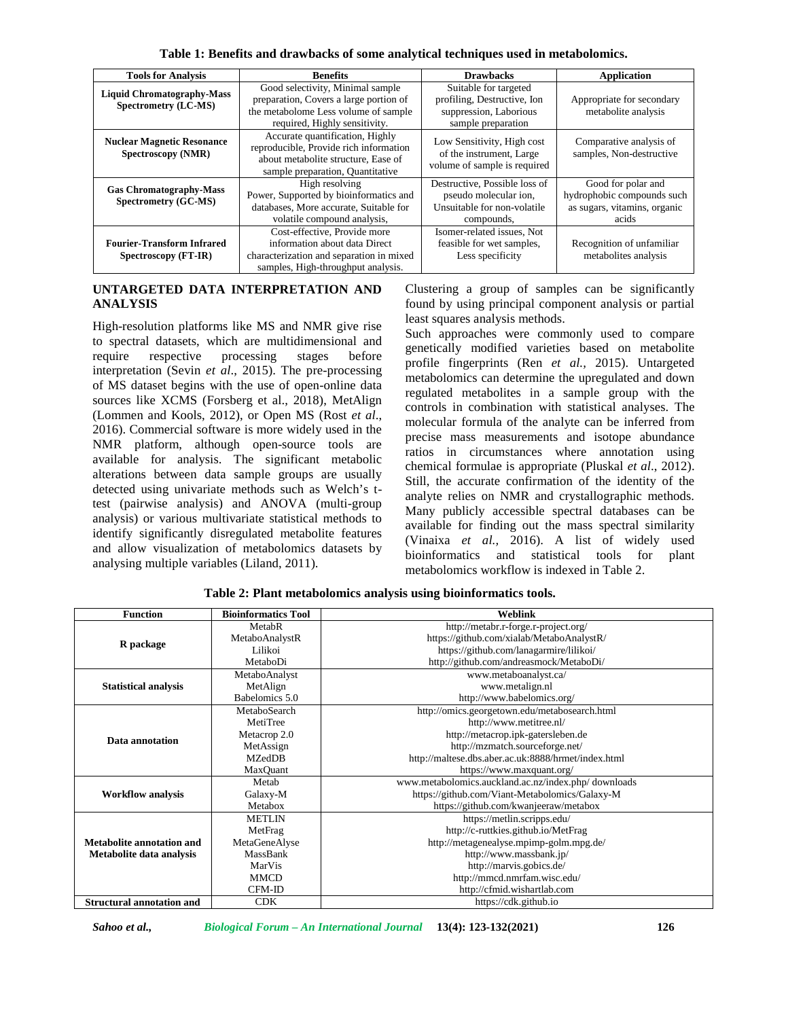**Table 1: Benefits and drawbacks of some analytical techniques used in metabolomics.**

| <b>Tools for Analysis</b>                                 | <b>Benefits</b>                                                                                                                                      | <b>Drawbacks</b>                                                                                     | <b>Application</b>                                                                        |
|-----------------------------------------------------------|------------------------------------------------------------------------------------------------------------------------------------------------------|------------------------------------------------------------------------------------------------------|-------------------------------------------------------------------------------------------|
| <b>Liquid Chromatography-Mass</b><br>Spectrometry (LC-MS) | Good selectivity, Minimal sample<br>preparation, Covers a large portion of<br>the metabolome Less volume of sample<br>required, Highly sensitivity.  | Suitable for targeted<br>profiling, Destructive, Ion<br>suppression, Laborious<br>sample preparation | Appropriate for secondary<br>metabolite analysis                                          |
| <b>Nuclear Magnetic Resonance</b><br>Spectroscopy (NMR)   | Accurate quantification, Highly<br>reproducible, Provide rich information<br>about metabolite structure. Ease of<br>sample preparation, Quantitative | Low Sensitivity, High cost<br>of the instrument, Large<br>volume of sample is required               | Comparative analysis of<br>samples, Non-destructive                                       |
| <b>Gas Chromatography-Mass</b><br>Spectrometry (GC-MS)    | High resolving<br>Power, Supported by bioinformatics and<br>databases, More accurate, Suitable for<br>volatile compound analysis,                    | Destructive, Possible loss of<br>pseudo molecular ion,<br>Unsuitable for non-volatile<br>compounds,  | Good for polar and<br>hydrophobic compounds such<br>as sugars, vitamins, organic<br>acids |
| <b>Fourier-Transform Infrared</b><br>Spectroscopy (FT-IR) | Cost-effective, Provide more<br>information about data Direct<br>characterization and separation in mixed<br>samples, High-throughput analysis.      | Isomer-related issues. Not<br>feasible for wet samples,<br>Less specificity                          | Recognition of unfamiliar<br>metabolites analysis                                         |

## **UNTARGETED DATA INTERPRETATION AND ANALYSIS**

High-resolution platforms like MS and NMR give rise to spectral datasets, which are multidimensional and require respective processing stages before interpretation (Sevin *et al*., 2015). The pre-processing of MS dataset begins with the use of open-online data sources like XCMS (Forsberg et al., 2018), MetAlign (Lommen and Kools, 2012), or Open MS (Rost *et al*., 2016). Commercial software is more widely used in the NMR platform, although open-source tools are available for analysis. The significant metabolic alterations between data sample groups are usually detected using univariate methods such as Welch's ttest (pairwise analysis) and ANOVA (multi-group analysis) or various multivariate statistical methods to identify significantly disregulated metabolite features and allow visualization of metabolomics datasets by analysing multiple variables (Liland, 2011).

Clustering a group of samples can be significantly found by using principal component analysis or partial least squares analysis methods.

Such approaches were commonly used to compare genetically modified varieties based on metabolite profile fingerprints (Ren *et al.,* 2015). Untargeted metabolomics can determine the upregulated and down regulated metabolites in a sample group with the controls in combination with statistical analyses. The molecular formula of the analyte can be inferred from precise mass measurements and isotope abundance ratios in circumstances where annotation using chemical formulae is appropriate (Pluskal *et al*., 2012). Still, the accurate confirmation of the identity of the analyte relies on NMR and crystallographic methods. Many publicly accessible spectral databases can be available for finding out the mass spectral similarity (Vinaixa *et al.,* 2016). A list of widely used bioinformatics and statistical tools for plant metabolomics workflow is indexed in Table 2.

| <b>Function</b>                  | <b>Bioinformatics Tool</b>          | Weblink                                              |  |  |
|----------------------------------|-------------------------------------|------------------------------------------------------|--|--|
|                                  | MetabR                              | http://metabr.r-forge.r-project.org/                 |  |  |
|                                  | MetaboAnalystR                      | https://github.com/xialab/MetaboAnalystR/            |  |  |
| R package                        | Lilikoi                             | https://github.com/lanagarmire/lilikoi/              |  |  |
|                                  | MetaboDi                            | http://github.com/andreasmock/MetaboDi/              |  |  |
|                                  | MetaboAnalyst                       | www.metaboanalyst.ca/                                |  |  |
| <b>Statistical analysis</b>      | MetAlign                            | www.metalign.nl                                      |  |  |
|                                  | Babelomics 5.0                      | http://www.babelomics.org/                           |  |  |
|                                  | MetaboSearch                        | http://omics.georgetown.edu/metabosearch.html        |  |  |
| Data annotation                  | MetiTree                            | http://www.metitree.nl/                              |  |  |
|                                  | Metacrop 2.0                        | http://metacrop.ipk-gatersleben.de                   |  |  |
|                                  | MetAssign                           | http://mzmatch.sourceforge.net/                      |  |  |
|                                  | MZedDB                              | http://maltese.dbs.aber.ac.uk:8888/hrmet/index.html  |  |  |
|                                  | MaxQuant                            | https://www.maxquant.org/                            |  |  |
|                                  | Metab                               | www.metabolomics.auckland.ac.nz/index.php/ downloads |  |  |
| <b>Workflow analysis</b>         | Galaxy-M                            | https://github.com/Viant-Metabolomics/Galaxy-M       |  |  |
|                                  | Metabox                             | https://github.com/kwanjeeraw/metabox                |  |  |
|                                  | <b>METLIN</b>                       | https://metlin.scripps.edu/                          |  |  |
|                                  | MetFrag                             | http://c-ruttkies.github.io/MetFrag                  |  |  |
| <b>Metabolite annotation and</b> | MetaGeneAlyse                       | http://metagenealyse.mpimp-golm.mpg.de/              |  |  |
| Metabolite data analysis         | MassBank<br>http://www.massbank.jp/ |                                                      |  |  |
|                                  | MarVis                              | http://marvis.gobics.de/                             |  |  |
|                                  | <b>MMCD</b>                         | http://mmcd.nmrfam.wisc.edu/                         |  |  |
| $CFM-ID$                         |                                     | http://cfmid.wishartlab.com                          |  |  |
| <b>Structural annotation and</b> | <b>CDK</b>                          | https://cdk.github.io                                |  |  |

**Table 2: Plant metabolomics analysis using bioinformatics tools.**

*Sahoo et al., Biological Forum – An International Journal* **13(4): 123-132(2021) 126**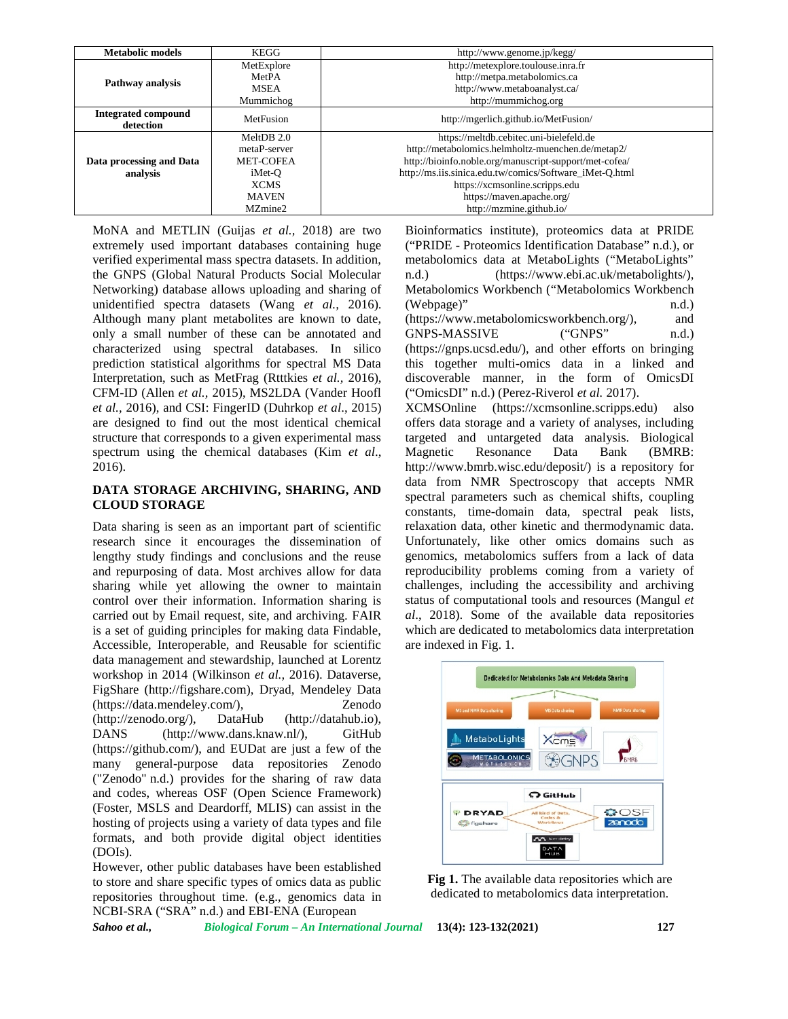| <b>Metabolic models</b>                 | <b>KEGG</b>                         | http://www.genome.jp/kegg/                              |  |  |
|-----------------------------------------|-------------------------------------|---------------------------------------------------------|--|--|
|                                         | MetExplore                          | http://metexplore.toulouse.inra.fr                      |  |  |
| Pathway analysis                        | MetPA                               | http://metpa.metabolomics.ca                            |  |  |
|                                         | <b>MSEA</b>                         | http://www.metaboanalyst.ca/                            |  |  |
|                                         | Mummichog                           | http://mummichog.org                                    |  |  |
| <b>Integrated compound</b><br>detection | MetFusion                           | http://mgerlich.github.io/MetFusion/                    |  |  |
|                                         | MeltDB 2.0                          | https://meltdb.cebitec.uni-bielefeld.de                 |  |  |
|                                         | metaP-server                        | http://metabolomics.helmholtz-muenchen.de/metap2/       |  |  |
| Data processing and Data                | <b>MET-COFEA</b>                    | http://bioinfo.noble.org/manuscript-support/met-cofea/  |  |  |
| analysis                                | iMet-O                              | http://ms.iis.sinica.edu.tw/comics/Software iMet-O.html |  |  |
|                                         | <b>XCMS</b>                         | https://xcmsonline.scripps.edu                          |  |  |
|                                         | <b>MAVEN</b>                        | https://maven.apache.org/                               |  |  |
|                                         | http://mzmine.github.io/<br>MZmine2 |                                                         |  |  |

MoNA and METLIN (Guijas *et al.,* 2018) are two extremely used important databases containing huge verified experimental mass spectra datasets. In addition, the GNPS (Global Natural Products Social Molecular Networking) database allows uploading and sharing of unidentified spectra datasets (Wang *et al.,* 2016). Although many plant metabolites are known to date, only a small number of these can be annotated and characterized using spectral databases. In silico prediction statistical algorithms for spectral MS Data Interpretation, such as MetFrag (Rtttkies *et al.,* 2016), CFM-ID (Allen *et al.,* 2015), MS2LDA (Vander Hoofl *et al.,* 2016), and CSI: FingerID (Duhrkop *et al*., 2015) are designed to find out the most identical chemical structure that corresponds to a given experimental mass spectrum using the chemical databases (Kim *et al*., 2016).

### **DATA STORAGE ARCHIVING, SHARING, AND CLOUD STORAGE**

Data sharing is seen as an important part of scientific research since it encourages the dissemination of lengthy study findings and conclusions and the reuse and repurposing of data. Most archives allow for data sharing while yet allowing the owner to maintain control over their information. Information sharing is carried out by Email request, site, and archiving. FAIR is a set of guiding principles for making data Findable, Accessible, Interoperable, and Reusable for scientific data management and stewardship, launched at Lorentz workshop in 2014 (Wilkinson *et al.,* 2016). Dataverse, FigShare ([http://figshare.com\)](http://figshare.com), Dryad, Mendeley Data (https://data.mendeley.com/), Zenodo [\(http://zenodo.org/\)](http://zenodo.org/), DataHub ([http://datahub.io\)](http://datahub.io), DANS (<http://www.dans.knaw.nl/>), GitHub (https://github.com/), and EUDat are just a few of the many general-purpose data repositories Zenodo ("Zenodo" n.d.) provides for the sharing of raw data and codes, whereas OSF (Open Science Framework) (Foster, MSLS and Deardorff, MLIS) can assist in the hosting of projects using a variety of data types and file formats, and both provide digital object identities (DOIs).

However, other public databases have been established to store and share specific types of omics data as public repositories throughout time. (e.g., genomics data in NCBI-SRA ("SRA" n.d.) and EBI-ENA (European

Bioinformatics institute), proteomics data at PRIDE ("PRIDE - Proteomics Identification Database" n.d.), or metabolomics data at MetaboLights ("MetaboLights" (https:/[/www.ebi.ac.uk/metabolights/\)](www.ebi.ac.uk/metabolights/), Metabolomics Workbench ("Metabolomics Workbench (Webpage)" n.d.) (https://<www.metabolomicsworkbench.org/>), and GNPS-MASSIVE ("GNPS" n.d.) (https://gnps.ucsd.edu/), and other efforts on bringing this together multi-omics data in a linked and discoverable manner, in the form of OmicsDI ("OmicsDI" n.d.) (Perez-Riverol *et al.* 2017). XCMSOnline (https://xcmsonline.scripps.edu) also offers data storage and a variety of analyses, including targeted and untargeted data analysis. Biological Resonance Data Bank (BMRB: <http://www.bmrb.wisc.edu/deposit/>) is a repository for data from NMR Spectroscopy that accepts NMR spectral parameters such as chemical shifts, coupling constants, time-domain data, spectral peak lists, relaxation data, other kinetic and thermodynamic data. Unfortunately, like other omics domains such as genomics, metabolomics suffers from a lack of data reproducibility problems coming from a variety of challenges, including the accessibility and archiving status of computational tools and resources (Mangul *et al*., 2018). Some of the available data repositories which are dedicated to metabolomics data interpretation are indexed in Fig. 1.



**Fig 1.** The available data repositories which are dedicated to metabolomics data interpretation.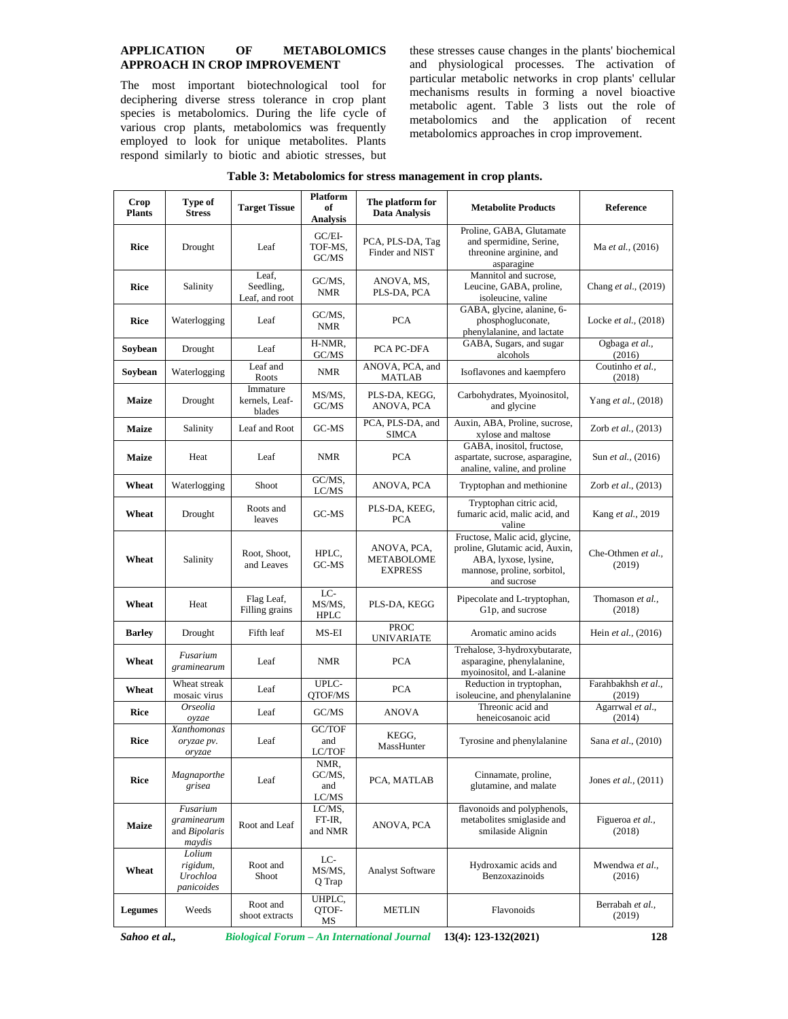#### **APPLICATION OF METABOLOMICS APPROACH IN CROP IMPROVEMENT**

The most important biotechnological tool for deciphering diverse stress tolerance in crop plant species is metabolomics. During the life cycle of various crop plants, metabolomics was frequently employed to look for unique metabolites. Plants respond similarly to biotic and abiotic stresses, but these stresses cause changes in the plants' biochemical and physiological processes. The activation of particular metabolic networks in crop plants' cellular mechanisms results in forming a novel bioactive metabolic agent. Table 3 lists out the role of metabolomics and the application of recent metabolomics approaches in crop improvement.

| Crop<br><b>Plants</b> | Type of<br><b>Stress</b>                                  | <b>Target Tissue</b>                 | <b>Platform</b><br>of<br>Analysis | The platform for<br>Data Analysis                  | <b>Metabolite Products</b>                                                                                                             | Reference                     |
|-----------------------|-----------------------------------------------------------|--------------------------------------|-----------------------------------|----------------------------------------------------|----------------------------------------------------------------------------------------------------------------------------------------|-------------------------------|
| Rice                  | Drought                                                   | Leaf                                 | GC/EL<br>TOF-MS,<br>GC/MS         | PCA, PLS-DA, Tag<br>Finder and NIST                | Proline, GABA, Glutamate<br>and spermidine, Serine,<br>threonine arginine, and<br>asparagine                                           | Ma et al., (2016)             |
| Rice                  | Salinity                                                  | Leaf.<br>Seedling,<br>Leaf, and root | GC/MS,<br>NMR                     | ANOVA, MS,<br>PLS-DA, PCA                          | Mannitol and sucrose,<br>Leucine, GABA, proline,<br>isoleucine, valine                                                                 | Chang et al., (2019)          |
| Rice                  | Waterlogging                                              | Leaf                                 | GC/MS,<br><b>NMR</b>              | <b>PCA</b>                                         | GABA, glycine, alanine, 6-<br>phosphogluconate,<br>phenylalanine, and lactate                                                          | Locke <i>et al.</i> , (2018)  |
| Soybean               | Drought                                                   | Leaf                                 | H-NMR,<br>GC/MS                   | PCA PC-DFA                                         | GABA, Sugars, and sugar<br>alcohols                                                                                                    | Ogbaga et al.,<br>(2016)      |
| Soybean               | Waterlogging                                              | Leaf and<br>Roots                    | NMR                               | ANOVA, PCA, and<br><b>MATLAB</b>                   | Isoflavones and kaempfero                                                                                                              | Coutinho et al.,<br>(2018)    |
| <b>Maize</b>          | Drought                                                   | Immature<br>kernels, Leaf-<br>blades | MS/MS.<br>GC/MS                   | PLS-DA, KEGG,<br>ANOVA, PCA                        | Carbohydrates, Myoinositol,<br>and glycine                                                                                             | Yang et al., (2018)           |
| <b>Maize</b>          | Salinity                                                  | Leaf and Root                        | GC-MS                             | PCA, PLS-DA, and<br><b>SIMCA</b>                   | Auxin, ABA, Proline, sucrose,<br>xylose and maltose                                                                                    | Zorb et al., (2013)           |
| <b>Maize</b>          | Heat                                                      | Leaf                                 | <b>NMR</b>                        | <b>PCA</b>                                         | GABA, inositol, fructose,<br>aspartate, sucrose, asparagine,<br>analine, valine, and proline                                           | Sun <i>et al.</i> , (2016)    |
| Wheat                 | Waterlogging                                              | Shoot                                | GC/MS,<br>LC/MS                   | ANOVA, PCA                                         | Tryptophan and methionine                                                                                                              | Zorb et al., (2013)           |
| Wheat                 | Drought                                                   | Roots and<br>leaves                  | GC-MS                             | PLS-DA, KEEG,<br><b>PCA</b>                        | Tryptophan citric acid,<br>fumaric acid, malic acid, and<br>valine                                                                     | Kang et al., 2019             |
| Wheat                 | Salinity                                                  | Root. Shoot.<br>and Leaves           | HPLC,<br>GC-MS                    | ANOVA, PCA,<br><b>METABOLOME</b><br><b>EXPRESS</b> | Fructose, Malic acid, glycine,<br>proline, Glutamic acid, Auxin,<br>ABA, lyxose, lysine,<br>mannose, proline, sorbitol,<br>and sucrose | Che-Othmen et al.,<br>(2019)  |
| Wheat                 | Heat                                                      | Flag Leaf,<br>Filling grains         | LC-<br>MS/MS.<br><b>HPLC</b>      | PLS-DA, KEGG                                       | Pipecolate and L-tryptophan,<br>G1p, and sucrose                                                                                       | Thomason et al.,<br>(2018)    |
| <b>Barley</b>         | Drought                                                   | Fifth leaf                           | MS-EI                             | <b>PROC</b><br><b>UNIVARIATE</b>                   | Aromatic amino acids                                                                                                                   | Hein et al., (2016)           |
| Wheat                 | Fusarium<br>graminearum                                   | Leaf                                 | <b>NMR</b>                        | <b>PCA</b>                                         | Trehalose, 3-hydroxybutarate,<br>asparagine, phenylalanine,<br>myoinositol, and L-alanine                                              |                               |
| Wheat                 | Wheat streak<br>mosaic virus                              | Leaf                                 | UPLC-<br>QTOF/MS                  | <b>PCA</b>                                         | Reduction in tryptophan,<br>isoleucine, and phenylalanine                                                                              | Farahbakhsh et al.,<br>(2019) |
| Rice                  | Orseolia<br>ovzae                                         | Leaf                                 | GC/MS                             | <b>ANOVA</b>                                       | Threonic acid and<br>heneicosanoic acid                                                                                                | Agarrwal et al.,<br>(2014)    |
| Rice                  | Xanthomonas<br>oryzae pv.<br>oryzae                       | Leaf                                 | GC/TOF<br>and<br>LC/TOF           | KEGG,<br>MassHunter                                | Tyrosine and phenylalanine                                                                                                             | Sana et al., (2010)           |
| Rice                  | Magnaporthe<br>grisea                                     | Leaf                                 | NMR.<br>GC/MS,<br>and<br>LC/MS    | PCA, MATLAB                                        | Cinnamate, proline,<br>glutamine, and malate                                                                                           | Jones et al., (2011)          |
| Maize                 | Fusarium<br>graminearum<br>and <i>Bipolaris</i><br>maydis | Root and Leaf                        | LC/MS,<br>FT-IR,<br>and NMR       | ANOVA, PCA                                         | flavonoids and polyphenols,<br>metabolites smiglaside and<br>smilaside Alignin                                                         | Figueroa et al.,<br>(2018)    |
| Wheat                 | Lolium<br>rigidum,<br>Urochloa<br>panicoides              | Root and<br>Shoot                    | LC-<br>MS/MS,<br>Q Trap           | <b>Analyst Software</b>                            | Hydroxamic acids and<br>Benzoxazinoids                                                                                                 | Mwendwa et al.,<br>(2016)     |
| <b>Legumes</b>        | Weeds                                                     | Root and<br>shoot extracts           | UHPLC,<br>QTOF-<br>MS             | <b>METLIN</b>                                      | Flavonoids                                                                                                                             | Berrabah et al.,<br>(2019)    |

| Table 3: Metabolomics for stress management in crop plants. |  |  |
|-------------------------------------------------------------|--|--|
|-------------------------------------------------------------|--|--|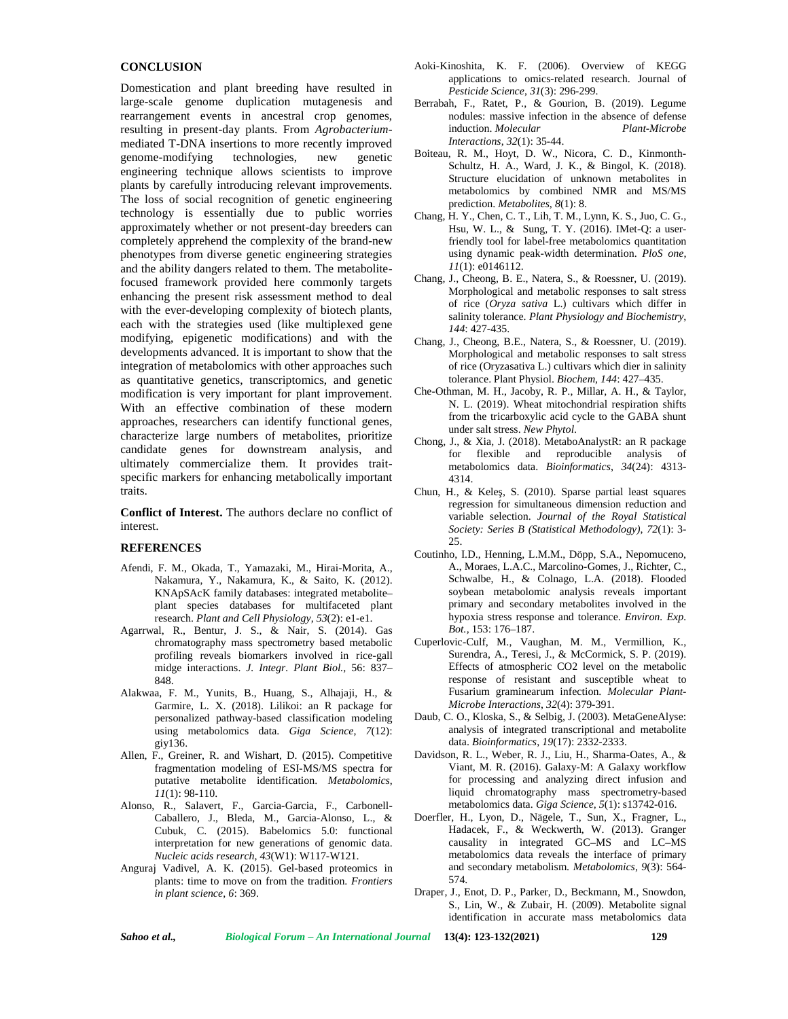#### **CONCLUSION**

Domestication and plant breeding have resulted in large-scale genome duplication mutagenesis and rearrangement events in ancestral crop genomes, resulting in present-day plants. From *Agrobacterium* mediated T-DNA insertions to more recently improved genome-modifying technologies, new genetic engineering technique allows scientists to improve plants by carefully introducing relevant improvements. The loss of social recognition of genetic engineering technology is essentially due to public worries approximately whether or not present-day breeders can completely apprehend the complexity of the brand-new phenotypes from diverse genetic engineering strategies and the ability dangers related to them. The metabolitefocused framework provided here commonly targets enhancing the present risk assessment method to deal with the ever-developing complexity of biotech plants, each with the strategies used (like multiplexed gene modifying, epigenetic modifications) and with the developments advanced. It is important to show that the integration of metabolomics with other approaches such as quantitative genetics, transcriptomics, and genetic modification is very important for plant improvement. With an effective combination of these modern approaches, researchers can identify functional genes, characterize large numbers of metabolites, prioritize candidate genes for downstream analysis, and ultimately commercialize them. It provides trait specific markers for enhancing metabolically important traits.

**Conflict of Interest.** The authors declare no conflict of interest.

#### **REFERENCES**

- Afendi, F. M., Okada, T., Yamazaki, M., Hirai-Morita, A., Nakamura, Y., Nakamura, K., & Saito, K. (2012). KNApSAcK family databases: integrated metabolite– plant species databases for multifaceted plant research. *Plant and Cell Physiology*, *53*(2): e1-e1.
- Agarrwal, R., Bentur, J. S., & Nair, S. (2014). Gas chromatography mass spectrometry based metabolic profiling reveals biomarkers involved in rice-gall midge interactions. *J. Integr. Plant Biol.,* 56: 837– 848.
- Alakwaa, F. M., Yunits, B., Huang, S., Alhajaji, H., & Garmire, L. X. (2018). Lilikoi: an R package for personalized pathway-based classification modeling using metabolomics data. *Giga Science*, *7*(12): giy136.
- Allen, F., Greiner, R. and Wishart, D. (2015). Competitive fragmentation modeling of ESI-MS/MS spectra for putative metabolite identification. *Metabolomics*, *11*(1): 98-110.
- Alonso, R., Salavert, F., Garcia-Garcia, F., Carbonell- Caballero, J., Bleda, M., Garcia-Alonso, L., & Cubuk, C. (2015). Babelomics 5.0: functional interpretation for new generations of genomic data. *Nucleic acids research*, *43*(W1): W117-W121.
- Anguraj Vadivel, A. K. (2015). Gel-based proteomics in plants: time to move on from the tradition. *Frontiers in plant science*, *6*: 369.
- Aoki-Kinoshita, K. F. (2006). Overview of KEGG applications to omics-related research. Journal of *Pesticide Science*, *31*(3): 296-299.
- Berrabah, F., Ratet, P., & Gourion, B. (2019). Legume nodules: massive infection in the absence of defense induction. *Molecular Plant-Microbe Interactions*, *32*(1): 35-44.
- Boiteau, R. M., Hoyt, D. W., Nicora, C. D., Kinmonth- Schultz, H. A., Ward, J. K., & Bingol, K. (2018). Structure elucidation of unknown metabolites in metabolomics by combined NMR and MS/MS prediction. *Metabolites*, *8*(1): 8.
- Chang, H. Y., Chen, C. T., Lih, T. M., Lynn, K. S., Juo, C. G., Hsu, W. L., & Sung, T. Y. (2016). IMet-Q: a userfriendly tool for label-free metabolomics quantitation using dynamic peak-width determination. *PloS one*, *11*(1): e0146112.
- Chang, J., Cheong, B. E., Natera, S., & Roessner, U. (2019). Morphological and metabolic responses to salt stress of rice (*Oryza sativa* L.) cultivars which differ in salinity tolerance. *Plant Physiology and Biochemistry*, *144*: 427-435.
- Chang, J., Cheong, B.E., Natera, S., & Roessner, U. (2019). Morphological and metabolic responses to salt stress of rice (Oryzasativa L.) cultivars which dier in salinity tolerance. Plant Physiol. *Biochem*, *144*: 427–435.
- Che-Othman, M. H., Jacoby, R. P., Millar, A. H., & Taylor, N. L. (2019). Wheat mitochondrial respiration shifts from the tricarboxylic acid cycle to the GABA shunt under salt stress. *New Phytol*.
- Chong, J., & Xia, J. (2018). MetaboAnalystR: an R package for flexible and reproducible analysis of metabolomics data. *Bioinformatics*, *34*(24): 4313- 4314.
- Chun, H., & Kele, S.  $(2010)$ . Sparse partial least squares regression for simultaneous dimension reduction and variable selection. *Journal of the Royal Statistical Society: Series B (Statistical Methodology)*, *72*(1): 3- 25.
- Coutinho, I.D., Henning, L.M.M., Döpp, S.A., Nepomuceno, A., Moraes, L.A.C., Marcolino-Gomes, J., Richter, C., Schwalbe, H., & Colnago, L.A. (2018). Flooded soybean metabolomic analysis reveals important primary and secondary metabolites involved in the hypoxia stress response and tolerance. *Environ. Exp. Bot.,* 153: 176–187.
- Cuperlovic-Culf, M., Vaughan, M. M., Vermillion, K., Surendra, A., Teresi, J., & McCormick, S. P. (2019). Effects of atmospheric CO2 level on the metabolic response of resistant and susceptible wheat to Fusarium graminearum infection. *Molecular Plant- Microbe Interactions*, *32*(4): 379-391.
- Daub, C. O., Kloska, S., & Selbig, J. (2003). MetaGeneAlyse: analysis of integrated transcriptional and metabolite data. *Bioinformatics*, *19*(17): 2332-2333.
- Davidson, R. L., Weber, R. J., Liu, H., Sharma-Oates, A., & Viant, M. R. (2016). Galaxy-M: A Galaxy workflow for processing and analyzing direct infusion and liquid chromatography mass spectrometry-based metabolomics data. *Giga Science, 5*(1): s13742-016.
- Doerfler, H., Lyon, D., Nägele, T., Sun, X., Fragner, L., Hadacek, F., & Weckwerth, W. (2013). Granger causality in integrated GC–MS and LC–MS metabolomics data reveals the interface of primary and secondary metabolism. *Metabolomics*, *9*(3): 564- 574.
- Draper, J., Enot, D. P., Parker, D., Beckmann, M., Snowdon, S., Lin, W., & Zubair, H. (2009). Metabolite signal identification in accurate mass metabolomics data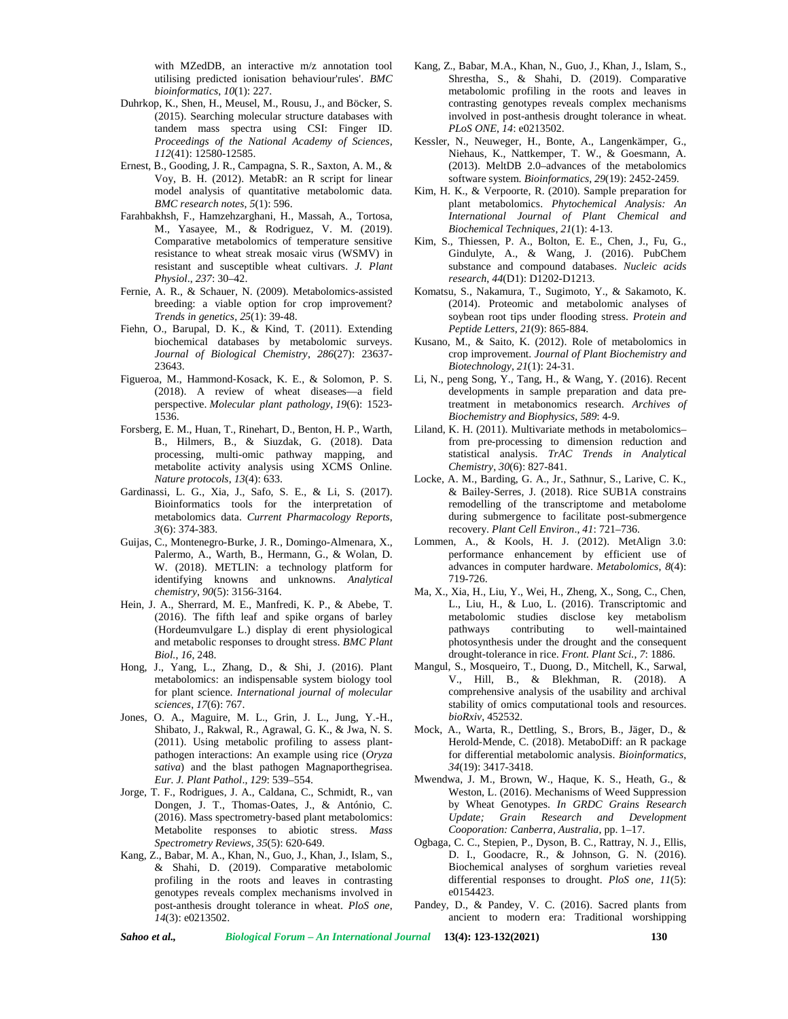with MZedDB, an interactive m/z annotation tool utilising predicted ionisation behaviour'rules'. *BMC bioinformatics*, *10*(1): 227.

- Duhrkop, K., Shen, H., Meusel, M., Rousu, J., and Böcker, S. (2015). Searching molecular structure databases with tandem mass spectra using CSI: Finger ID. *Proceedings of the National Academy of Sciences*, *112*(41): 12580-12585.
- Ernest, B., Gooding, J. R., Campagna, S. R., Saxton, A. M., & Voy, B. H. (2012). MetabR: an R script for linear model analysis of quantitative metabolomic data*. BMC research notes*, *5*(1): 596.
- Farahbakhsh, F., Hamzehzarghani, H., Massah, A., Tortosa, M., Yasayee, M., & Rodriguez, V. M. (2019). Comparative metabolomics of temperature sensitive resistance to wheat streak mosaic virus (WSMV) in resistant and susceptible wheat cultivars. *J. Plant Physiol*., *237*: 30–42.
- Fernie, A. R., & Schauer, N. (2009). Metabolomics-assisted breeding: a viable option for crop improvement? *Trends in genetics*, *25*(1): 39-48.
- Fiehn, O., Barupal, D. K., & Kind, T. (2011). Extending biochemical databases by metabolomic surveys. *Journal of Biological Chemistry*, *286*(27): 23637- 23643.
- Figueroa, M., Hammond‐Kosack, K. E., & Solomon, P. S. (2018). A review of wheat diseases—a field perspective. *Molecular plant pathology*, *19*(6): 1523- 1536.
- Forsberg, E. M., Huan, T., Rinehart, D., Benton, H. P., Warth, B., Hilmers, B., & Siuzdak, G. (2018). Data processing, multi-omic pathway mapping, and metabolite activity analysis using XCMS Online. *Nature protocols*, *13*(4): 633.
- Gardinassi, L. G., Xia, J., Safo, S. E., & Li, S. (2017). Bioinformatics tools for the interpretation of metabolomics data. *Current Pharmacology Reports*, *3*(6): 374-383.
- Guijas, C., Montenegro-Burke, J. R., Domingo-Almenara, X., Palermo, A., Warth, B., Hermann, G., & Wolan, D. W. (2018). METLIN: a technology platform for identifying knowns and unknowns. *Analytical chemistry*, *90*(5): 3156-3164.
- Hein, J. A., Sherrard, M. E., Manfredi, K. P., & Abebe, T. (2016). The fifth leaf and spike organs of barley (Hordeumvulgare L.) display di erent physiological and metabolic responses to drought stress. *BMC Plant Biol.*, *16*, 248.
- Hong, J., Yang, L., Zhang, D., & Shi, J. (2016). Plant metabolomics: an indispensable system biology tool for plant science. *International journal of molecular sciences*, *17*(6): 767.
- Jones, O. A., Maguire, M. L., Grin, J. L., Jung, Y.-H., Shibato, J., Rakwal, R., Agrawal, G. K., & Jwa, N. S. (2011). Using metabolic profiling to assess plant pathogen interactions: An example using rice (*Oryza sativa*) and the blast pathogen Magnaporthegrisea. *Eur. J. Plant Pathol*., *129*: 539–554.
- Jorge, T. F., Rodrigues, J. A., Caldana, C., Schmidt, R., van Dongen, J. T., Thomas‐Oates, J., & António, C. (2016). Mass spectrometry‐based plant metabolomics: Metabolite responses to abiotic stress. *Mass Spectrometry Reviews*, *35*(5): 620-649.
- Kang, Z., Babar, M. A., Khan, N., Guo, J., Khan, J., Islam, S., & Shahi, D. (2019). Comparative metabolomic profiling in the roots and leaves in contrasting genotypes reveals complex mechanisms involved in post-anthesis drought tolerance in wheat. *PloS one*, *14*(3): e0213502.
- Kang, Z., Babar, M.A., Khan, N., Guo, J., Khan, J., Islam, S., Shrestha, S., & Shahi, D. (2019). Comparative metabolomic profiling in the roots and leaves in contrasting genotypes reveals complex mechanisms involved in post-anthesis drought tolerance in wheat. *PLoS ONE*, *14*: e0213502.
- Kessler, N., Neuweger, H., Bonte, A., Langenkämper, G., Niehaus, K., Nattkemper, T. W., & Goesmann, A. (2013). MeltDB 2.0–advances of the metabolomics software system. *Bioinformatics*, *29*(19): 2452-2459.
- Kim, H. K., & Verpoorte, R. (2010). Sample preparation for plant metabolomics. *Phytochemical Analysis: An International Journal of Plant Chemical and Biochemical Techniques*, *21*(1): 4-13.
- Kim, S., Thiessen, P. A., Bolton, E. E., Chen, J., Fu, G., Gindulyte, A., & Wang, J. (2016). PubChem substance and compound databases. *Nucleic acids research*, *44*(D1): D1202-D1213.
- Komatsu, S., Nakamura, T., Sugimoto, Y., & Sakamoto, K. (2014). Proteomic and metabolomic analyses of soybean root tips under flooding stress. *Protein and Peptide Letters*, *21*(9): 865-884.
- Kusano, M., & Saito, K. (2012). Role of metabolomics in crop improvement. *Journal of Plant Biochemistry and Biotechnology*, *21*(1): 24-31.
- Li, N., peng Song, Y., Tang, H., & Wang, Y. (2016). Recent developments in sample preparation and data pretreatment in metabonomics research. *Archives of Biochemistry and Biophysics*, *589*: 4-9.
- Liland, K. H. (2011). Multivariate methods in metabolomics– from pre-processing to dimension reduction and statistical analysis. *TrAC Trends in Analytical Chemistry*, *30*(6): 827-841.
- Locke, A. M., Barding, G. A., Jr., Sathnur, S., Larive, C. K., & Bailey-Serres, J. (2018). Rice SUB1A constrains remodelling of the transcriptome and metabolome during submergence to facilitate post-submergence recovery. *Plant Cell Environ*., *41*: 721–736.
- Lommen, A., & Kools, H. J. (2012). MetAlign 3.0: performance enhancement by efficient use of advances in computer hardware. *Metabolomics*, *8*(4): 719-726.
- Ma, X., Xia, H., Liu, Y., Wei, H., Zheng, X., Song, C., Chen, L., Liu, H., & Luo, L. (2016). Transcriptomic and metabolomic studies disclose key metabolism<br>pathways contributing to well-maintained pathways contributing to photosynthesis under the drought and the consequent drought-tolerance in rice. *Front. Plant Sci.*, *7*: 1886.
- Mangul, S., Mosqueiro, T., Duong, D., Mitchell, K., Sarwal, V., Hill, B., & Blekhman, R. (2018). A comprehensive analysis of the usability and archival stability of omics computational tools and resources. *bioRxiv*, 452532.
- Mock, A., Warta, R., Dettling, S., Brors, B., Jäger, D., & Herold-Mende, C. (2018). MetaboDiff: an R package for differential metabolomic analysis. *Bioinformatics*, *34*(19): 3417-3418.
- Mwendwa, J. M., Brown, W., Haque, K. S., Heath, G., & Weston, L. (2016). Mechanisms of Weed Suppression by Wheat Genotypes. *In GRDC Grains Research Update; Grain Research and Development Cooporation: Canberra, Australia*, pp. 1–17.
- Ogbaga, C. C., Stepien, P., Dyson, B. C., Rattray, N. J., Ellis, D. I., Goodacre, R., & Johnson, G. N. (2016). Biochemical analyses of sorghum varieties reveal differential responses to drought. *PloS one, 11*(5): e0154423.
- Pandey, D., & Pandey, V. C. (2016). Sacred plants from ancient to modern era: Traditional worshipping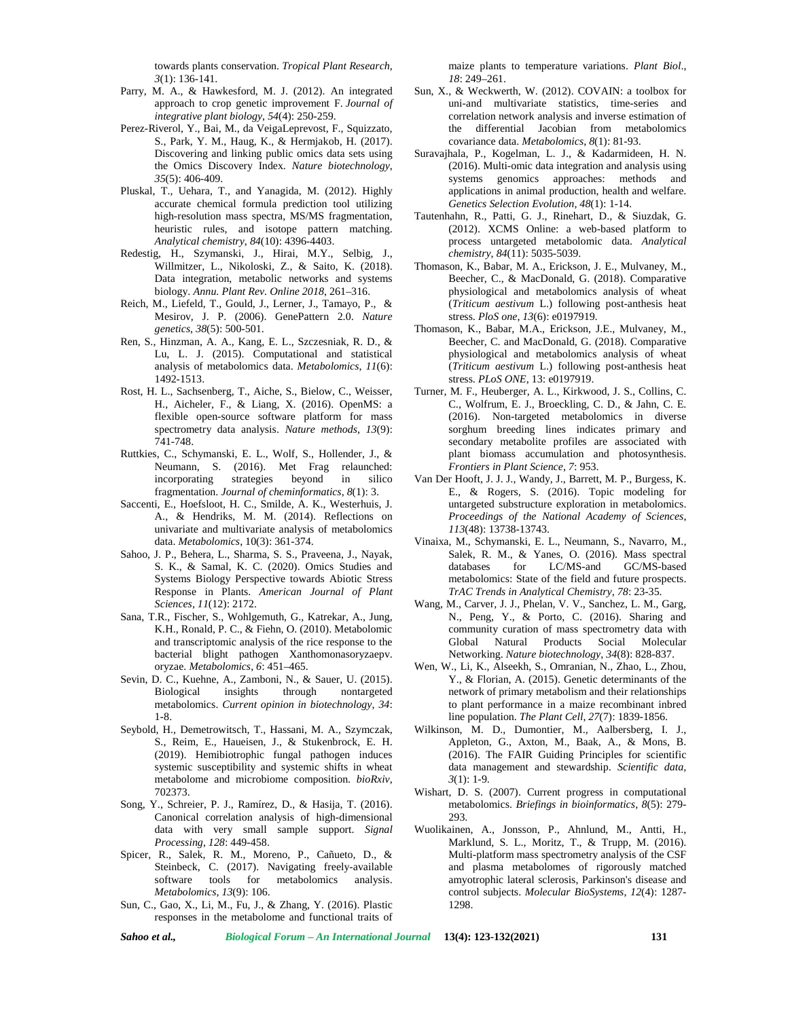towards plants conservation. *Tropical Plant Research*, *3*(1): 136-141.

- Parry, M. A., & Hawkesford, M. J. (2012). An integrated approach to crop genetic improvement F. *Journal of integrative plant biology*, *54*(4): 250-259.
- Perez-Riverol, Y., Bai, M., da VeigaLeprevost, F., Squizzato, S., Park, Y. M., Haug, K., & Hermjakob, H. (2017). Discovering and linking public omics data sets using the Omics Discovery Index. *Nature biotechnology*, *35*(5): 406-409.
- Pluskal, T., Uehara, T., and Yanagida, M. (2012). Highly accurate chemical formula prediction tool utilizing high-resolution mass spectra, MS/MS fragmentation, heuristic rules, and isotope pattern matching. *Analytical chemistry*, *84*(10): 4396-4403.
- Redestig, H., Szymanski, J., Hirai, M.Y., Selbig, J., Willmitzer, L., Nikoloski, Z., & Saito, K. (2018). Data integration, metabolic networks and systems biology. *Annu. Plant Rev. Online 2018*, 261–316.
- Reich, M., Liefeld, T., Gould, J., Lerner, J., Tamayo, P., & Mesirov, J. P. (2006). GenePattern 2.0. *Nature genetics*, *38*(5): 500-501.
- Ren, S., Hinzman, A. A., Kang, E. L., Szczesniak, R. D., & Lu, L. J. (2015). Computational and statistical analysis of metabolomics data. *Metabolomics*, *11*(6): 1492-1513.
- Rost, H. L., Sachsenberg, T., Aiche, S., Bielow, C., Weisser, H., Aicheler, F., & Liang, X. (2016). OpenMS: a flexible open-source software platform for mass spectrometry data analysis. *Nature methods*, *13*(9): 741-748.
- Ruttkies, C., Schymanski, E. L., Wolf, S., Hollender, J., & Neumann, S. (2016). Met Frag relaunched: incorporating strategies beyond in silico fragmentation. *Journal of cheminformatics*, *8*(1): 3.
- Saccenti, E., Hoefsloot, H. C., Smilde, A. K., Westerhuis, J. A., & Hendriks, M. M. (2014). Reflections on univariate and multivariate analysis of metabolomics data. *Metabolomics*, 10(3): 361-374.
- Sahoo, J. P., Behera, L., Sharma, S. S., Praveena, J., Nayak, S. K., & Samal, K. C. (2020). Omics Studies and Systems Biology Perspective towards Abiotic Stress Response in Plants. *American Journal of Plant Sciences*, *11*(12): 2172.
- Sana, T.R., Fischer, S., Wohlgemuth, G., Katrekar, A., Jung, K.H., Ronald, P. C., & Fiehn, O. (2010). Metabolomic and transcriptomic analysis of the rice response to the bacterial blight pathogen Xanthomonasoryzaepv. oryzae. *Metabolomics*, *6*: 451–465.
- Sevin, D. C., Kuehne, A., Zamboni, N., & Sauer, U. (2015). Biological insights through nontargeted metabolomics. *Current opinion in biotechnology*, *34*: 1-8.
- Seybold, H., Demetrowitsch, T., Hassani, M. A., Szymczak, S., Reim, E., Haueisen, J., & Stukenbrock, E. H. (2019). Hemibiotrophic fungal pathogen induces systemic susceptibility and systemic shifts in wheat metabolome and microbiome composition. *bioRxiv*, 702373.
- Song, Y., Schreier, P. J., Ramírez, D., & Hasija, T. (2016). Canonical correlation analysis of high-dimensional data with very small sample support. *Signal Processing*, *128*: 449-458.
- Spicer, R., Salek, R. M., Moreno, P., Cañueto, D., & Steinbeck, C. (2017). Navigating freely-available software tools for metabolomics analysis. *Metabolomics*, *13*(9): 106.
- Sun, C., Gao, X., Li, M., Fu, J., & Zhang, Y. (2016). Plastic responses in the metabolome and functional traits of

maize plants to temperature variations. *Plant Biol*., *18*: 249–261.

- Sun, X., & Weckwerth, W. (2012). COVAIN: a toolbox for uni-and multivariate statistics, time-series and correlation network analysis and inverse estimation of the differential Jacobian from metabolomics covariance data. *Metabolomics*, *8*(1): 81-93.
- Suravajhala, P., Kogelman, L. J., & Kadarmideen, H. N. (2016). Multi-omic data integration and analysis using systems genomics approaches: methods and applications in animal production, health and welfare. *Genetics Selection Evolution*, *48*(1): 1-14.
- Tautenhahn, R., Patti, G. J., Rinehart, D., & Siuzdak, G. (2012). XCMS Online: a web-based platform to process untargeted metabolomic data. *Analytical chemistry*, *84*(11): 5035-5039.
- Thomason, K., Babar, M. A., Erickson, J. E., Mulvaney, M., Beecher, C., & MacDonald, G. (2018). Comparative physiological and metabolomics analysis of wheat (*Triticum aestivum* L.) following post-anthesis heat stress. *PloS one*, *13*(6): e0197919.
- Thomason, K., Babar, M.A., Erickson, J.E., Mulvaney, M., Beecher, C. and MacDonald, G. (2018). Comparative physiological and metabolomics analysis of wheat (*Triticum aestivum* L.) following post-anthesis heat stress. *PLoS ONE*, 13: e0197919.
- Turner, M. F., Heuberger, A. L., Kirkwood, J. S., Collins, C. C., Wolfrum, E. J., Broeckling, C. D., & Jahn, C. E. (2016). Non-targeted metabolomics in diverse sorghum breeding lines indicates primary and secondary metabolite profiles are associated with plant biomass accumulation and photosynthesis. *Frontiers in Plant Science*, *7*: 953.
- Van Der Hooft, J. J. J., Wandy, J., Barrett, M. P., Burgess, K. E., & Rogers, S. (2016). Topic modeling for untargeted substructure exploration in metabolomics. *Proceedings of the National Academy of Sciences*, *113*(48): 13738-13743.
- Vinaixa, M., Schymanski, E. L., Neumann, S., Navarro, M., Salek, R. M., & Yanes, O. (2016). Mass spectral databases for LC/MS-and GC/MS-based metabolomics: State of the field and future prospects. *TrAC Trends in Analytical Chemistry*, *78*: 23-35.
- Wang, M., Carver, J. J., Phelan, V. V., Sanchez, L. M., Garg, N., Peng, Y., & Porto, C. (2016). Sharing and community curation of mass spectrometry data with Global Natural Products Social Molecular Networking. *Nature biotechnology*, *34*(8): 828-837.
- Wen, W., Li, K., Alseekh, S., Omranian, N., Zhao, L., Zhou, Y., & Florian, A. (2015). Genetic determinants of the network of primary metabolism and their relationships to plant performance in a maize recombinant inbred line population. *The Plant Cell*, *27*(7): 1839-1856.
- Wilkinson, M. D., Dumontier, M., Aalbersberg, I. J., Appleton, G., Axton, M., Baak, A., & Mons, B. (2016). The FAIR Guiding Principles for scientific data management and stewardship. *Scientific data, 3*(1): 1-9.
- Wishart, D. S. (2007). Current progress in computational metabolomics. *Briefings in bioinformatics*, *8*(5): 279- 293.
- Wuolikainen, A., Jonsson, P., Ahnlund, M., Antti, H., Marklund, S. L., Moritz, T., & Trupp, M. (2016). Multi-platform mass spectrometry analysis of the CSF and plasma metabolomes of rigorously matched amyotrophic lateral sclerosis, Parkinson's disease and control subjects. *Molecular BioSystems*, *12*(4): 1287- 1298.